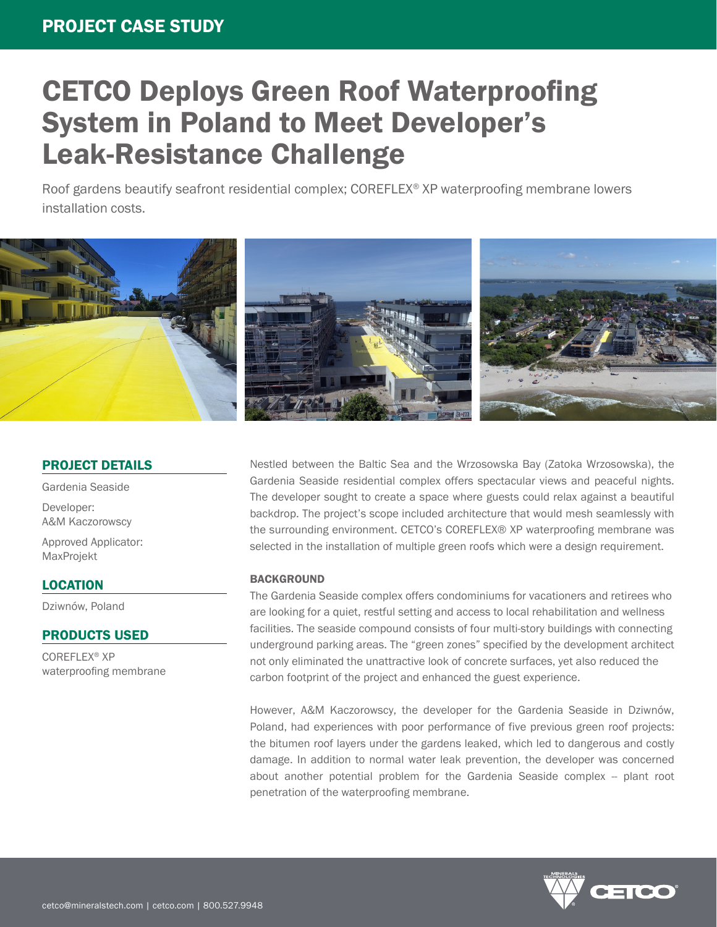# CETCO Deploys Green Roof Waterproofing System in Poland to Meet Developer's Leak-Resistance Challenge

Roof gardens beautify seafront residential complex; COREFLEX® XP waterproofing membrane lowers installation costs.



## PROJECT DETAILS

Gardenia Seaside

Developer: A&M Kaczorowscy

Approved Applicator: MaxProjekt

### LOCATION

Dziwnów, Poland

## PRODUCTS USED

COREFLEX® XP waterproofing membrane Nestled between the Baltic Sea and the Wrzosowska Bay (Zatoka Wrzosowska), the Gardenia Seaside residential complex offers spectacular views and peaceful nights. The developer sought to create a space where guests could relax against a beautiful backdrop. The project's scope included architecture that would mesh seamlessly with the surrounding environment. CETCO's COREFLEX® XP waterproofing membrane was selected in the installation of multiple green roofs which were a design requirement.

### **BACKGROUND**

The Gardenia Seaside complex offers condominiums for vacationers and retirees who are looking for a quiet, restful setting and access to local rehabilitation and wellness facilities. The seaside compound consists of four multi-story buildings with connecting underground parking areas. The "green zones" specified by the development architect not only eliminated the unattractive look of concrete surfaces, yet also reduced the carbon footprint of the project and enhanced the guest experience.

However, A&M Kaczorowscy, the developer for the Gardenia Seaside in Dziwnów, Poland, had experiences with poor performance of five previous green roof projects: the bitumen roof layers under the gardens leaked, which led to dangerous and costly damage. In addition to normal water leak prevention, the developer was concerned about another potential problem for the Gardenia Seaside complex -- plant root penetration of the waterproofing membrane.

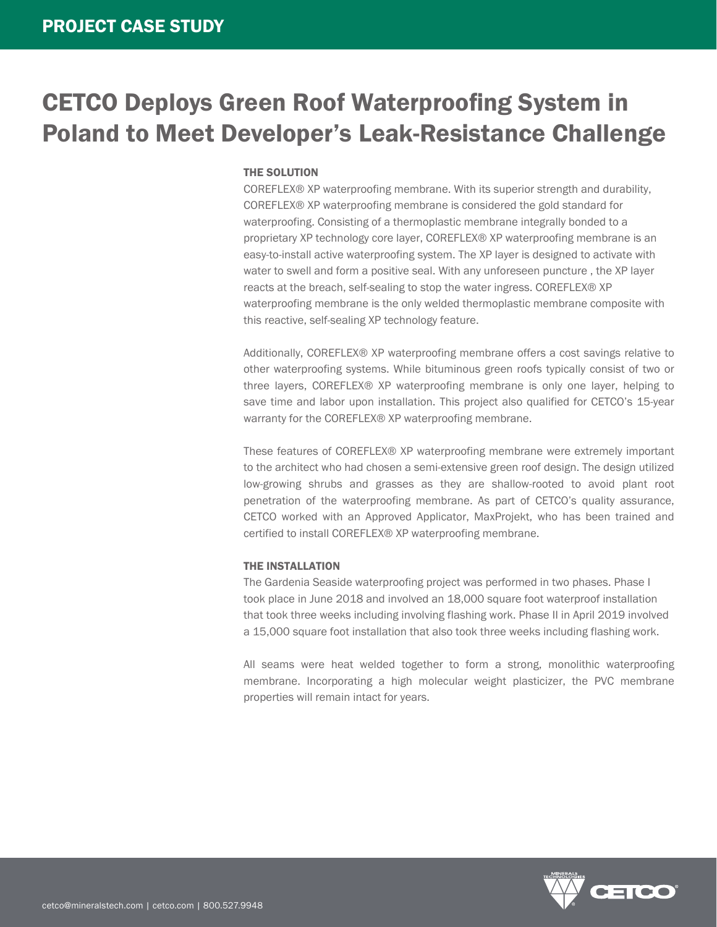## CETCO Deploys Green Roof Waterproofing System in Poland to Meet Developer's Leak-Resistance Challenge

#### THE SOLUTION

COREFLEX® XP waterproofing membrane. With its superior strength and durability, COREFLEX® XP waterproofing membrane is considered the gold standard for waterproofing. Consisting of a thermoplastic membrane integrally bonded to a proprietary XP technology core layer, COREFLEX® XP waterproofing membrane is an easy-to-install active waterproofing system. The XP layer is designed to activate with water to swell and form a positive seal. With any unforeseen puncture , the XP layer reacts at the breach, self-sealing to stop the water ingress. COREFLEX® XP waterproofing membrane is the only welded thermoplastic membrane composite with this reactive, self-sealing XP technology feature.

Additionally, COREFLEX® XP waterproofing membrane offers a cost savings relative to other waterproofing systems. While bituminous green roofs typically consist of two or three layers, COREFLEX® XP waterproofing membrane is only one layer, helping to save time and labor upon installation. This project also qualified for CETCO's 15-year warranty for the COREFLEX® XP waterproofing membrane.

These features of COREFLEX® XP waterproofing membrane were extremely important to the architect who had chosen a semi-extensive green roof design. The design utilized low-growing shrubs and grasses as they are shallow-rooted to avoid plant root penetration of the waterproofing membrane. As part of CETCO's quality assurance, CETCO worked with an Approved Applicator, MaxProjekt, who has been trained and certified to install COREFLEX® XP waterproofing membrane.

#### THE INSTALLATION

The Gardenia Seaside waterproofing project was performed in two phases. Phase I took place in June 2018 and involved an 18,000 square foot waterproof installation that took three weeks including involving flashing work. Phase II in April 2019 involved a 15,000 square foot installation that also took three weeks including flashing work.

All seams were heat welded together to form a strong, monolithic waterproofing membrane. Incorporating a high molecular weight plasticizer, the PVC membrane properties will remain intact for years.